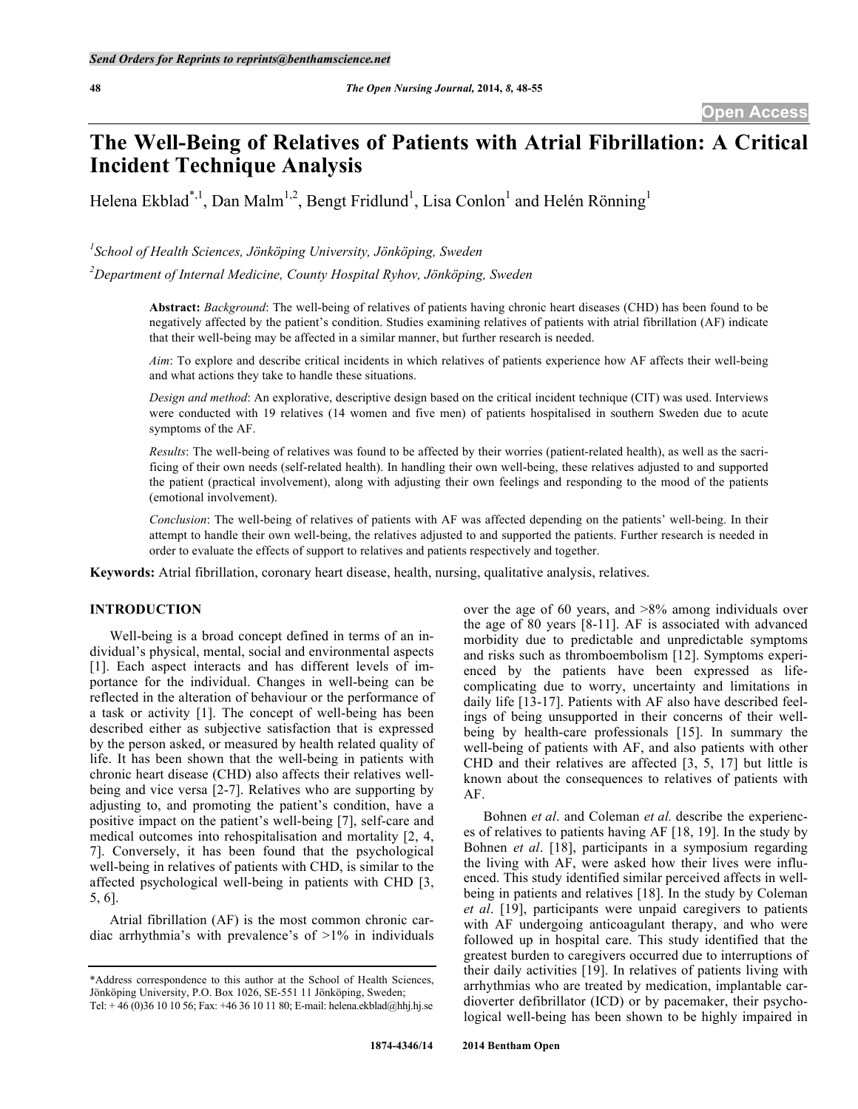# **The Well-Being of Relatives of Patients with Atrial Fibrillation: A Critical Incident Technique Analysis**

Helena Ekblad\*,<sup>1</sup>, Dan Malm<sup>1,2</sup>, Bengt Fridlund<sup>1</sup>, Lisa Conlon<sup>1</sup> and Helén Rönning<sup>1</sup>

*1 School of Health Sciences, Jönköping University, Jönköping, Sweden*

*2 Department of Internal Medicine, County Hospital Ryhov, Jönköping, Sweden*

**Abstract:** *Background*: The well-being of relatives of patients having chronic heart diseases (CHD) has been found to be negatively affected by the patient's condition. Studies examining relatives of patients with atrial fibrillation (AF) indicate that their well-being may be affected in a similar manner, but further research is needed.

*Aim*: To explore and describe critical incidents in which relatives of patients experience how AF affects their well-being and what actions they take to handle these situations.

*Design and method*: An explorative, descriptive design based on the critical incident technique (CIT) was used. Interviews were conducted with 19 relatives (14 women and five men) of patients hospitalised in southern Sweden due to acute symptoms of the AF.

*Results*: The well-being of relatives was found to be affected by their worries (patient-related health), as well as the sacrificing of their own needs (self-related health). In handling their own well-being, these relatives adjusted to and supported the patient (practical involvement), along with adjusting their own feelings and responding to the mood of the patients (emotional involvement).

*Conclusion*: The well-being of relatives of patients with AF was affected depending on the patients' well-being. In their attempt to handle their own well-being, the relatives adjusted to and supported the patients. Further research is needed in order to evaluate the effects of support to relatives and patients respectively and together.

**Keywords:** Atrial fibrillation, coronary heart disease, health, nursing, qualitative analysis, relatives.

#### **INTRODUCTION**

Well-being is a broad concept defined in terms of an individual's physical, mental, social and environmental aspects [1]. Each aspect interacts and has different levels of importance for the individual. Changes in well-being can be reflected in the alteration of behaviour or the performance of a task or activity [1]. The concept of well-being has been described either as subjective satisfaction that is expressed by the person asked, or measured by health related quality of life. It has been shown that the well-being in patients with chronic heart disease (CHD) also affects their relatives wellbeing and vice versa [2-7]. Relatives who are supporting by adjusting to, and promoting the patient's condition, have a positive impact on the patient's well-being [7], self-care and medical outcomes into rehospitalisation and mortality [2, 4, 7]. Conversely, it has been found that the psychological well-being in relatives of patients with CHD, is similar to the affected psychological well-being in patients with CHD [3, 5, 6].

Atrial fibrillation (AF) is the most common chronic cardiac arrhythmia's with prevalence's of  $>1\%$  in individuals over the age of 60 years, and  $>8\%$  among individuals over the age of 80 years [8-11]. AF is associated with advanced morbidity due to predictable and unpredictable symptoms and risks such as thromboembolism [12]. Symptoms experienced by the patients have been expressed as lifecomplicating due to worry, uncertainty and limitations in daily life [13-17]. Patients with AF also have described feelings of being unsupported in their concerns of their wellbeing by health-care professionals [15]. In summary the well-being of patients with AF, and also patients with other CHD and their relatives are affected [3, 5, 17] but little is known about the consequences to relatives of patients with AF.

Bohnen *et al*. and Coleman *et al.* describe the experiences of relatives to patients having AF [18, 19]. In the study by Bohnen *et al*. [18], participants in a symposium regarding the living with AF, were asked how their lives were influenced. This study identified similar perceived affects in wellbeing in patients and relatives [18]. In the study by Coleman *et al*. [19], participants were unpaid caregivers to patients with AF undergoing anticoagulant therapy, and who were followed up in hospital care. This study identified that the greatest burden to caregivers occurred due to interruptions of their daily activities [19]. In relatives of patients living with arrhythmias who are treated by medication, implantable cardioverter defibrillator (ICD) or by pacemaker, their psychological well-being has been shown to be highly impaired in

<sup>\*</sup>Address correspondence to this author at the School of Health Sciences, Jönköping University, P.O. Box 1026, SE-551 11 Jönköping, Sweden; Tel: + 46 (0)36 10 10 56; Fax: +46 36 10 11 80; E-mail: helena.ekblad@hhj.hj.se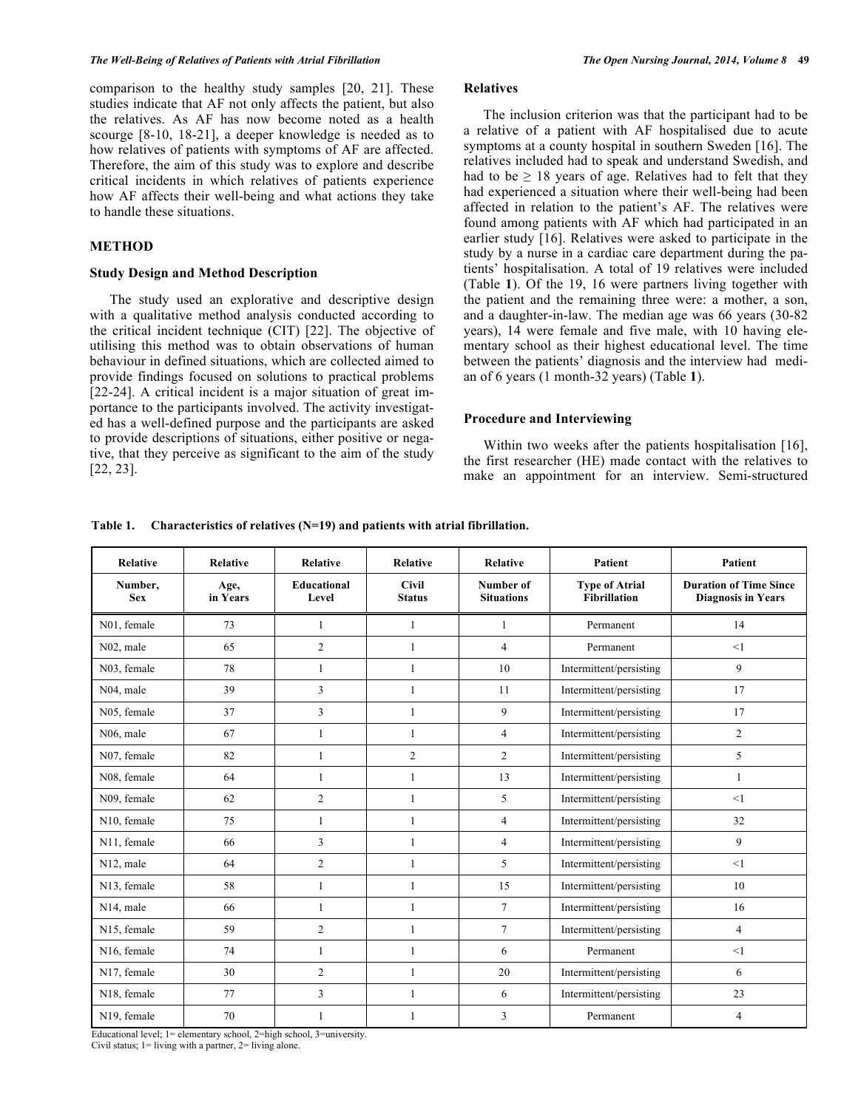comparison to the healthy study samples [20, 21]. These studies indicate that AF not only affects the patient, but also the relatives. As AF has now become noted as a health scourge [8-10, 18-21], a deeper knowledge is needed as to how relatives of patients with symptoms of AF are affected. Therefore, the aim of this study was to explore and describe critical incidents in which relatives of patients experience how AF affects their well-being and what actions they take to handle these situations.

# **METHOD**

#### **Study Design and Method Description**

The study used an explorative and descriptive design with a qualitative method analysis conducted according to the critical incident technique (CIT) [22]. The objective of utilising this method was to obtain observations of human behaviour in defined situations, which are collected aimed to provide findings focused on solutions to practical problems [22-24]. A critical incident is a major situation of great importance to the participants involved. The activity investigated has a well-defined purpose and the participants are asked to provide descriptions of situations, either positive or negative, that they perceive as significant to the aim of the study [22, 23].

# **Relatives**

The inclusion criterion was that the participant had to be a relative of a patient with AF hospitalised due to acute symptoms at a county hospital in southern Sweden [16]. The relatives included had to speak and understand Swedish, and had to be  $\geq$  18 years of age. Relatives had to felt that they had experienced a situation where their well-being had been affected in relation to the patient's AF. The relatives were found among patients with AF which had participated in an earlier study [16]. Relatives were asked to participate in the study by a nurse in a cardiac care department during the patients' hospitalisation. A total of 19 relatives were included (Table **1**). Of the 19, 16 were partners living together with the patient and the remaining three were: a mother, a son, and a daughter-in-law. The median age was 66 years (30-82 years), 14 were female and five male, with 10 having elementary school as their highest educational level. The time between the patients' diagnosis and the interview had median of 6 years (1 month-32 years) (Table **1**).

## **Procedure and Interviewing**

Within two weeks after the patients hospitalisation [16], the first researcher (HE) made contact with the relatives to make an appointment for an interview. Semi-structured

**Table 1. Characteristics of relatives (N=19) and patients with atrial fibrillation.**

| Relative               | <b>Relative</b>  | <b>Relative</b>             | <b>Relative</b>               | Relative                       | <b>Patient</b>                               | Patient                                                    |
|------------------------|------------------|-----------------------------|-------------------------------|--------------------------------|----------------------------------------------|------------------------------------------------------------|
| Number,<br><b>Sex</b>  | Age,<br>in Years | <b>Educational</b><br>Level | <b>Civil</b><br><b>Status</b> | Number of<br><b>Situations</b> | <b>Type of Atrial</b><br><b>Fibrillation</b> | <b>Duration of Time Since</b><br><b>Diagnosis in Years</b> |
| N01, female            | 73               | 1                           | $\mathbf{1}$                  | $\mathbf{1}$                   | Permanent                                    | 14                                                         |
| N <sub>02</sub> , male | 65               | $\overline{c}$              | 1                             | $\overline{4}$                 | Permanent                                    | <1                                                         |
| N03, female            | 78               | 1                           | $\mathbf{1}$                  | 10                             | Intermittent/persisting                      | 9                                                          |
| N04, male              | 39               | 3                           | 1                             | 11                             | Intermittent/persisting                      | 17                                                         |
| N05, female            | 37               | $\overline{3}$              | $\mathbf{1}$                  | 9                              | Intermittent/persisting                      | 17                                                         |
| N <sub>06</sub> , male | 67               | 1                           | $\mathbf{1}$                  | $\overline{4}$                 | Intermittent/persisting                      | $\overline{2}$                                             |
| N07, female            | 82               | 1                           | $\overline{2}$                | $\overline{2}$                 | Intermittent/persisting                      | 5                                                          |
| N08, female            | 64               | 1                           | 1                             | 13                             | Intermittent/persisting                      | 1                                                          |
| N09, female            | 62               | $\overline{2}$              | $\mathbf{1}$                  | 5                              | Intermittent/persisting                      | <1                                                         |
| N10, female            | 75               | 1                           | $\mathbf{1}$                  | 4                              | Intermittent/persisting                      | 32                                                         |
| N11, female            | 66               | 3                           | $\mathbf{1}$                  | $\overline{4}$                 | Intermittent/persisting                      | 9                                                          |
| N12, male              | 64               | $\overline{2}$              | $\mathbf{1}$                  | 5                              | Intermittent/persisting                      | $\leq$ 1                                                   |
| N13, female            | 58               | 1                           | 1                             | 15                             | Intermittent/persisting                      | 10                                                         |
| N14, male              | 66               | 1                           | 1                             | $\tau$                         | Intermittent/persisting                      | 16                                                         |
| N15, female            | 59               | $\overline{2}$              | $\mathbf{1}$                  | $\overline{7}$                 | Intermittent/persisting                      | $\overline{4}$                                             |
| N16, female            | 74               | 1                           | 1                             | 6                              | Permanent                                    | <1                                                         |
| N17, female            | 30               | $\overline{2}$              | $\mathbf{1}$                  | 20                             | Intermittent/persisting                      | 6                                                          |
| N18, female            | 77               | $\overline{3}$              | $\mathbf{1}$                  | 6                              | Intermittent/persisting                      | 23                                                         |
| N19, female            | 70               | 1                           | 1                             | 3                              | Permanent                                    | 4                                                          |

Educational level; 1= elementary school, 2=high school, 3=university. Civil status; 1= living with a partner, 2= living alone.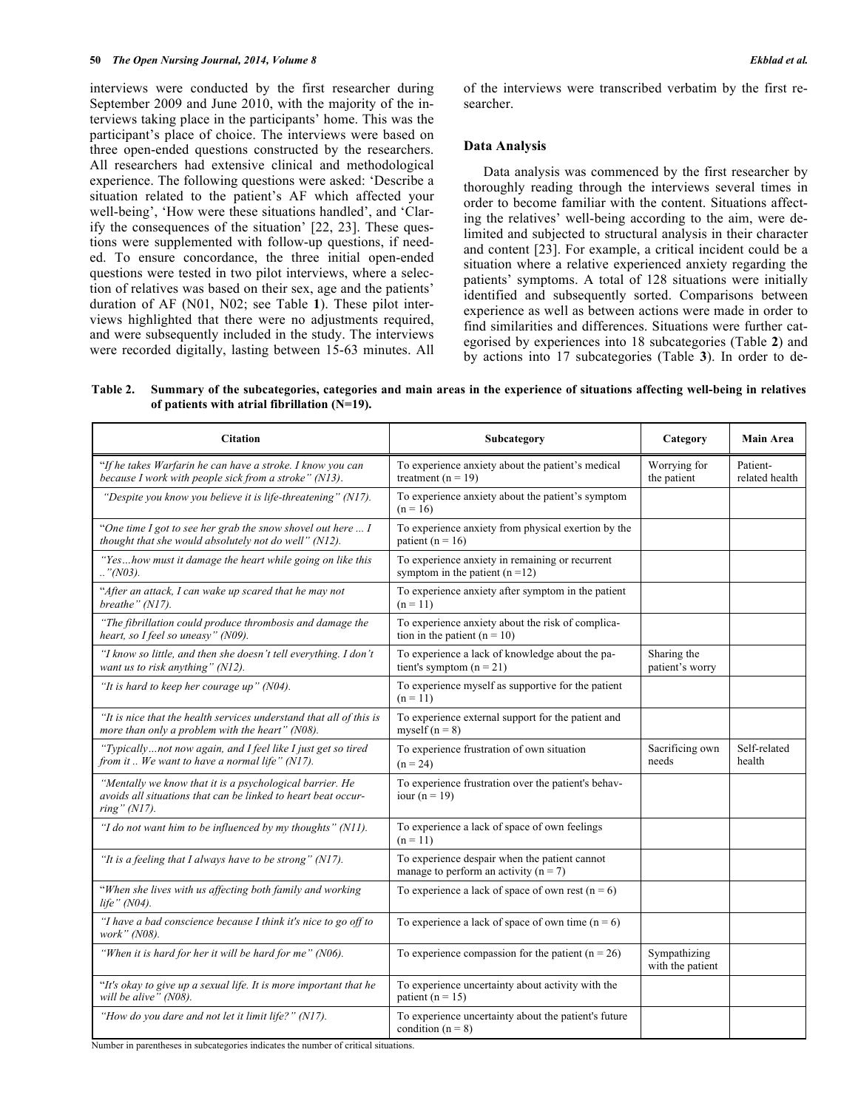interviews were conducted by the first researcher during September 2009 and June 2010, with the majority of the interviews taking place in the participants' home. This was the participant's place of choice. The interviews were based on three open-ended questions constructed by the researchers. All researchers had extensive clinical and methodological experience. The following questions were asked: 'Describe a situation related to the patient's AF which affected your well-being', 'How were these situations handled', and 'Clarify the consequences of the situation' [22, 23]. These questions were supplemented with follow-up questions, if needed. To ensure concordance, the three initial open-ended questions were tested in two pilot interviews, where a selection of relatives was based on their sex, age and the patients' duration of AF (N01, N02; see Table **1**). These pilot interviews highlighted that there were no adjustments required, and were subsequently included in the study. The interviews were recorded digitally, lasting between 15-63 minutes. All of the interviews were transcribed verbatim by the first researcher.

### **Data Analysis**

Data analysis was commenced by the first researcher by thoroughly reading through the interviews several times in order to become familiar with the content. Situations affecting the relatives' well-being according to the aim, were delimited and subjected to structural analysis in their character and content [23]. For example, a critical incident could be a situation where a relative experienced anxiety regarding the patients' symptoms. A total of 128 situations were initially identified and subsequently sorted. Comparisons between experience as well as between actions were made in order to find similarities and differences. Situations were further categorised by experiences into 18 subcategories (Table **2**) and by actions into 17 subcategories (Table **3**). In order to de-

**Table 2. Summary of the subcategories, categories and main areas in the experience of situations affecting well-being in relatives of patients with atrial fibrillation (N=19).**

| <b>Citation</b>                                                                                                                              | Subcategory                                                                                | Category                         | <b>Main Area</b>           |
|----------------------------------------------------------------------------------------------------------------------------------------------|--------------------------------------------------------------------------------------------|----------------------------------|----------------------------|
| "If he takes Warfarin he can have a stroke. I know you can<br>because I work with people sick from a stroke" (N13).                          | To experience anxiety about the patient's medical<br>treatment $(n = 19)$                  | Worrying for<br>the patient      | Patient-<br>related health |
| "Despite you know you believe it is life-threatening" (N17).                                                                                 | To experience anxiety about the patient's symptom<br>$(n = 16)$                            |                                  |                            |
| "One time I got to see her grab the snow shovel out here  I<br>thought that she would absolutely not do well" (N12).                         | To experience anxiety from physical exertion by the<br>patient ( $n = 16$ )                |                                  |                            |
| "Yeshow must it damage the heart while going on like this<br>$\therefore$ "(N03).                                                            | To experience anxiety in remaining or recurrent<br>symptom in the patient $(n=12)$         |                                  |                            |
| "After an attack, I can wake up scared that he may not<br>breathe" (N17).                                                                    | To experience anxiety after symptom in the patient<br>$(n = 11)$                           |                                  |                            |
| "The fibrillation could produce thrombosis and damage the<br>heart, so I feel so uneasy" (N09).                                              | To experience anxiety about the risk of complica-<br>tion in the patient ( $n = 10$ )      |                                  |                            |
| "I know so little, and then she doesn't tell everything. I don't<br>want us to risk anything" (N12).                                         | To experience a lack of knowledge about the pa-<br>tient's symptom $(n = 21)$              | Sharing the<br>patient's worry   |                            |
| "It is hard to keep her courage up" ( $N04$ ).                                                                                               | To experience myself as supportive for the patient<br>$(n = 11)$                           |                                  |                            |
| "It is nice that the health services understand that all of this is<br>more than only a problem with the heart" (N08).                       | To experience external support for the patient and<br>myself $(n = 8)$                     |                                  |                            |
| "Typicallynot now again, and I feel like I just get so tired<br>from it We want to have a normal life" $(N17)$ .                             | To experience frustration of own situation<br>$(n = 24)$                                   | Sacrificing own<br>needs         | Self-related<br>health     |
| "Mentally we know that it is a psychological barrier. He<br>avoids all situations that can be linked to heart beat occur-<br>ring" $(N17)$ . | To experience frustration over the patient's behav-<br>iour ( $n = 19$ )                   |                                  |                            |
| "I do not want him to be influenced by my thoughts" (N11).                                                                                   | To experience a lack of space of own feelings<br>$(n = 11)$                                |                                  |                            |
| "It is a feeling that I always have to be strong" (N17).                                                                                     | To experience despair when the patient cannot<br>manage to perform an activity ( $n = 7$ ) |                                  |                            |
| "When she lives with us affecting both family and working<br>life" $(N04)$ .                                                                 | To experience a lack of space of own rest $(n = 6)$                                        |                                  |                            |
| "I have a bad conscience because I think it's nice to go off to<br><i>work</i> " (N08).                                                      | To experience a lack of space of own time $(n = 6)$                                        |                                  |                            |
| "When it is hard for her it will be hard for me" (N06).                                                                                      | To experience compassion for the patient $(n = 26)$                                        | Sympathizing<br>with the patient |                            |
| "It's okay to give up a sexual life. It is more important that he<br>will be alive" (N08).                                                   | To experience uncertainty about activity with the<br>patient ( $n = 15$ )                  |                                  |                            |
| "How do you dare and not let it limit life?" (N17).                                                                                          | To experience uncertainty about the patient's future<br>condition $(n = 8)$                |                                  |                            |
| Number in parentheses in subcategories indicates the number of critical situations.                                                          |                                                                                            |                                  |                            |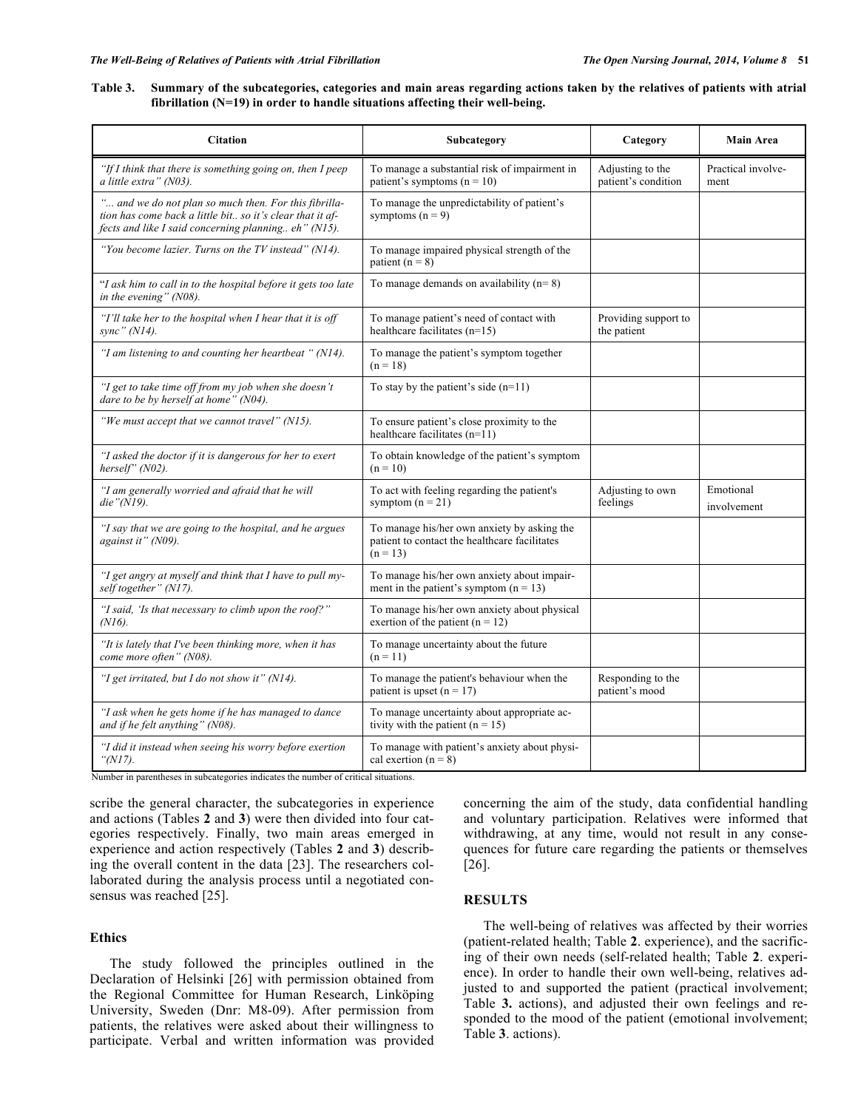#### **Table 3. Summary of the subcategories, categories and main areas regarding actions taken by the relatives of patients with atrial fibrillation (N=19) in order to handle situations affecting their well-being.**

| <b>Citation</b>                                                                                                                                                                | Subcategory                                                                                                | Category                                | <b>Main Area</b>           |
|--------------------------------------------------------------------------------------------------------------------------------------------------------------------------------|------------------------------------------------------------------------------------------------------------|-----------------------------------------|----------------------------|
| "If I think that there is something going on, then I peep<br>a little extra" (N03).                                                                                            | To manage a substantial risk of impairment in<br>patient's symptoms $(n = 10)$                             | Adjusting to the<br>patient's condition | Practical involve-<br>ment |
| " and we do not plan so much then. For this fibrilla-<br>tion has come back a little bit so it's clear that it af-<br>fects and like I said concerning planning eh" ( $N15$ ). | To manage the unpredictability of patient's<br>symptoms $(n = 9)$                                          |                                         |                            |
| "You become lazier. Turns on the TV instead" (N14).                                                                                                                            | To manage impaired physical strength of the<br>patient $(n = 8)$                                           |                                         |                            |
| "I ask him to call in to the hospital before it gets too late<br>in the evening" (N08).                                                                                        | To manage demands on availability $(n=8)$                                                                  |                                         |                            |
| "I'll take her to the hospital when I hear that it is off<br>sync" (N14).                                                                                                      | To manage patient's need of contact with<br>healthcare facilitates $(n=15)$                                | Providing support to<br>the patient     |                            |
| "I am listening to and counting her heartbeat " (N14).                                                                                                                         | To manage the patient's symptom together<br>$(n = 18)$                                                     |                                         |                            |
| "I get to take time off from my job when she doesn't<br>dare to be by herself at home" (N04).                                                                                  | To stay by the patient's side $(n=11)$                                                                     |                                         |                            |
| "We must accept that we cannot travel" (N15).                                                                                                                                  | To ensure patient's close proximity to the<br>healthcare facilitates $(n=11)$                              |                                         |                            |
| "I asked the doctor if it is dangerous for her to exert<br>herself" (N02).                                                                                                     | To obtain knowledge of the patient's symptom<br>$(n = 10)$                                                 |                                         |                            |
| "I am generally worried and afraid that he will<br>die" $(N19)$ .                                                                                                              | To act with feeling regarding the patient's<br>symptom $(n = 21)$                                          | Adjusting to own<br>feelings            | Emotional<br>involvement   |
| "I say that we are going to the hospital, and he argues<br>against it" (N09).                                                                                                  | To manage his/her own anxiety by asking the<br>patient to contact the healthcare facilitates<br>$(n = 13)$ |                                         |                            |
| "I get angry at myself and think that I have to pull my-<br>self together" (N17).                                                                                              | To manage his/her own anxiety about impair-<br>ment in the patient's symptom $(n = 13)$                    |                                         |                            |
| "I said, 'Is that necessary to climb upon the roof?"<br>$(N16)$ .                                                                                                              | To manage his/her own anxiety about physical<br>exertion of the patient $(n = 12)$                         |                                         |                            |
| "It is lately that I've been thinking more, when it has<br>come more often" (N08).                                                                                             | To manage uncertainty about the future<br>$(n = 11)$                                                       |                                         |                            |
| "I get irritated, but I do not show it" (N14).                                                                                                                                 | To manage the patient's behaviour when the<br>patient is upset $(n = 17)$                                  | Responding to the<br>patient's mood     |                            |
| "I ask when he gets home if he has managed to dance<br>and if he felt anything" (N08).                                                                                         | To manage uncertainty about appropriate ac-<br>tivity with the patient $(n = 15)$                          |                                         |                            |
| "I did it instead when seeing his worry before exertion<br>" $(N17)$ .                                                                                                         | To manage with patient's anxiety about physi-<br>cal exertion $(n = 8)$                                    |                                         |                            |

Number in parentheses in subcategories indicates the number of critical situations.

scribe the general character, the subcategories in experience and actions (Tables **2** and **3**) were then divided into four categories respectively. Finally, two main areas emerged in experience and action respectively (Tables **2** and **3**) describing the overall content in the data [23]. The researchers collaborated during the analysis process until a negotiated consensus was reached [25].

#### **Ethics**

The study followed the principles outlined in the Declaration of Helsinki [26] with permission obtained from the Regional Committee for Human Research, Linköping University, Sweden (Dnr: M8-09). After permission from patients, the relatives were asked about their willingness to participate. Verbal and written information was provided concerning the aim of the study, data confidential handling and voluntary participation. Relatives were informed that withdrawing, at any time, would not result in any consequences for future care regarding the patients or themselves [26].

# **RESULTS**

The well-being of relatives was affected by their worries (patient-related health; Table **2**. experience), and the sacrificing of their own needs (self-related health; Table **2**. experience). In order to handle their own well-being, relatives adjusted to and supported the patient (practical involvement; Table **3.** actions), and adjusted their own feelings and responded to the mood of the patient (emotional involvement; Table **3**. actions).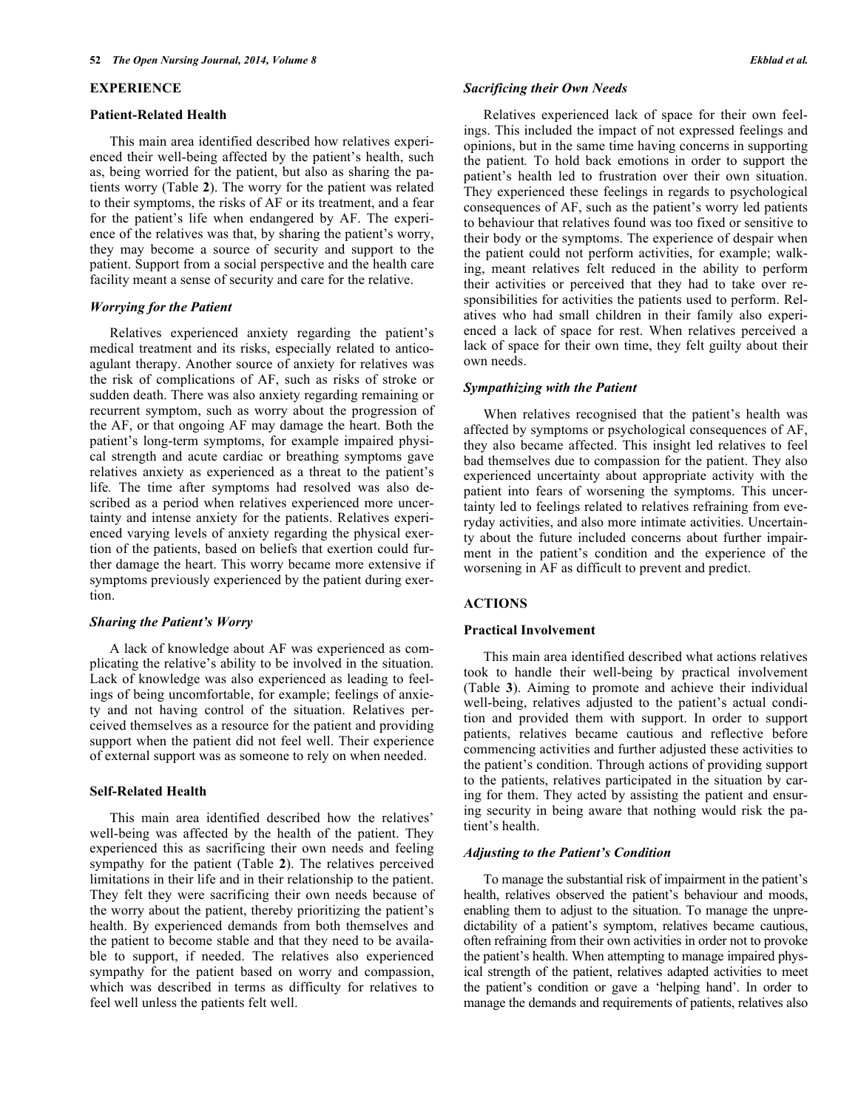#### **EXPERIENCE**

#### **Patient-Related Health**

This main area identified described how relatives experienced their well-being affected by the patient's health, such as, being worried for the patient, but also as sharing the patients worry (Table **2**). The worry for the patient was related to their symptoms, the risks of AF or its treatment, and a fear for the patient's life when endangered by AF. The experience of the relatives was that, by sharing the patient's worry, they may become a source of security and support to the patient. Support from a social perspective and the health care facility meant a sense of security and care for the relative.

#### *Worrying for the Patient*

Relatives experienced anxiety regarding the patient's medical treatment and its risks, especially related to anticoagulant therapy. Another source of anxiety for relatives was the risk of complications of AF, such as risks of stroke or sudden death. There was also anxiety regarding remaining or recurrent symptom, such as worry about the progression of the AF, or that ongoing AF may damage the heart. Both the patient's long-term symptoms, for example impaired physical strength and acute cardiac or breathing symptoms gave relatives anxiety as experienced as a threat to the patient's life*.* The time after symptoms had resolved was also described as a period when relatives experienced more uncertainty and intense anxiety for the patients. Relatives experienced varying levels of anxiety regarding the physical exertion of the patients, based on beliefs that exertion could further damage the heart. This worry became more extensive if symptoms previously experienced by the patient during exertion.

# *Sharing the Patient's Worry*

A lack of knowledge about AF was experienced as complicating the relative's ability to be involved in the situation. Lack of knowledge was also experienced as leading to feelings of being uncomfortable, for example; feelings of anxiety and not having control of the situation. Relatives perceived themselves as a resource for the patient and providing support when the patient did not feel well. Their experience of external support was as someone to rely on when needed.

#### **Self-Related Health**

This main area identified described how the relatives' well-being was affected by the health of the patient. They experienced this as sacrificing their own needs and feeling sympathy for the patient (Table **2**). The relatives perceived limitations in their life and in their relationship to the patient. They felt they were sacrificing their own needs because of the worry about the patient, thereby prioritizing the patient's health. By experienced demands from both themselves and the patient to become stable and that they need to be available to support, if needed. The relatives also experienced sympathy for the patient based on worry and compassion, which was described in terms as difficulty for relatives to feel well unless the patients felt well.

#### *Sacrificing their Own Needs*

Relatives experienced lack of space for their own feelings. This included the impact of not expressed feelings and opinions, but in the same time having concerns in supporting the patient*.* To hold back emotions in order to support the patient's health led to frustration over their own situation. They experienced these feelings in regards to psychological consequences of AF, such as the patient's worry led patients to behaviour that relatives found was too fixed or sensitive to their body or the symptoms. The experience of despair when the patient could not perform activities, for example; walking, meant relatives felt reduced in the ability to perform their activities or perceived that they had to take over responsibilities for activities the patients used to perform. Relatives who had small children in their family also experienced a lack of space for rest. When relatives perceived a lack of space for their own time, they felt guilty about their own needs.

#### *Sympathizing with the Patient*

When relatives recognised that the patient's health was affected by symptoms or psychological consequences of AF, they also became affected. This insight led relatives to feel bad themselves due to compassion for the patient. They also experienced uncertainty about appropriate activity with the patient into fears of worsening the symptoms. This uncertainty led to feelings related to relatives refraining from everyday activities, and also more intimate activities. Uncertainty about the future included concerns about further impairment in the patient's condition and the experience of the worsening in AF as difficult to prevent and predict.

#### **ACTIONS**

#### **Practical Involvement**

This main area identified described what actions relatives took to handle their well-being by practical involvement (Table **3**). Aiming to promote and achieve their individual well-being, relatives adjusted to the patient's actual condition and provided them with support. In order to support patients, relatives became cautious and reflective before commencing activities and further adjusted these activities to the patient's condition. Through actions of providing support to the patients, relatives participated in the situation by caring for them. They acted by assisting the patient and ensuring security in being aware that nothing would risk the patient's health.

# *Adjusting to the Patient's Condition*

To manage the substantial risk of impairment in the patient's health, relatives observed the patient's behaviour and moods, enabling them to adjust to the situation. To manage the unpredictability of a patient's symptom, relatives became cautious, often refraining from their own activities in order not to provoke the patient's health. When attempting to manage impaired physical strength of the patient, relatives adapted activities to meet the patient's condition or gave a 'helping hand'. In order to manage the demands and requirements of patients, relatives also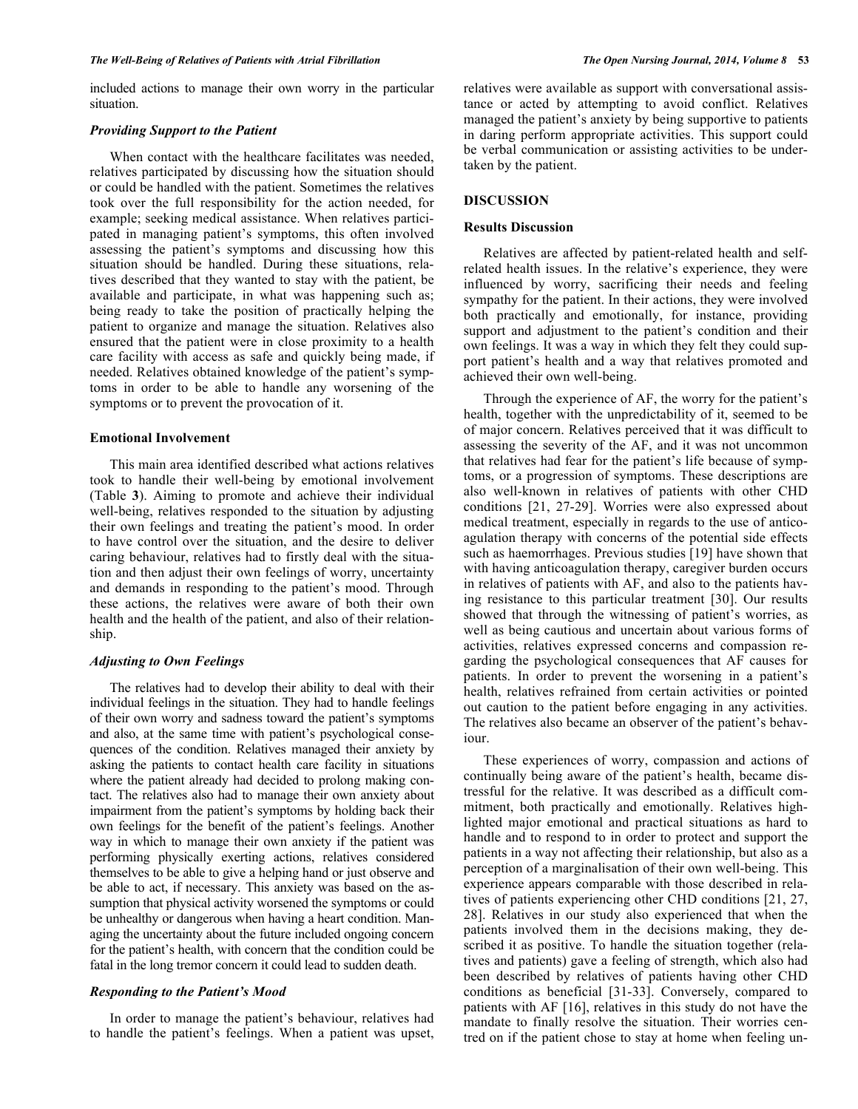included actions to manage their own worry in the particular situation.

#### *Providing Support to the Patient*

When contact with the healthcare facilitates was needed, relatives participated by discussing how the situation should or could be handled with the patient. Sometimes the relatives took over the full responsibility for the action needed, for example; seeking medical assistance. When relatives participated in managing patient's symptoms, this often involved assessing the patient's symptoms and discussing how this situation should be handled. During these situations, relatives described that they wanted to stay with the patient, be available and participate, in what was happening such as; being ready to take the position of practically helping the patient to organize and manage the situation. Relatives also ensured that the patient were in close proximity to a health care facility with access as safe and quickly being made, if needed. Relatives obtained knowledge of the patient's symptoms in order to be able to handle any worsening of the symptoms or to prevent the provocation of it.

#### **Emotional Involvement**

This main area identified described what actions relatives took to handle their well-being by emotional involvement (Table **3**). Aiming to promote and achieve their individual well-being, relatives responded to the situation by adjusting their own feelings and treating the patient's mood. In order to have control over the situation, and the desire to deliver caring behaviour, relatives had to firstly deal with the situation and then adjust their own feelings of worry, uncertainty and demands in responding to the patient's mood. Through these actions, the relatives were aware of both their own health and the health of the patient, and also of their relationship.

## *Adjusting to Own Feelings*

The relatives had to develop their ability to deal with their individual feelings in the situation. They had to handle feelings of their own worry and sadness toward the patient's symptoms and also, at the same time with patient's psychological consequences of the condition. Relatives managed their anxiety by asking the patients to contact health care facility in situations where the patient already had decided to prolong making contact. The relatives also had to manage their own anxiety about impairment from the patient's symptoms by holding back their own feelings for the benefit of the patient's feelings. Another way in which to manage their own anxiety if the patient was performing physically exerting actions, relatives considered themselves to be able to give a helping hand or just observe and be able to act, if necessary. This anxiety was based on the assumption that physical activity worsened the symptoms or could be unhealthy or dangerous when having a heart condition. Managing the uncertainty about the future included ongoing concern for the patient's health, with concern that the condition could be fatal in the long tremor concern it could lead to sudden death.

## *Responding to the Patient's Mood*

In order to manage the patient's behaviour, relatives had to handle the patient's feelings. When a patient was upset, relatives were available as support with conversational assistance or acted by attempting to avoid conflict. Relatives managed the patient's anxiety by being supportive to patients in daring perform appropriate activities. This support could be verbal communication or assisting activities to be undertaken by the patient.

# **DISCUSSION**

#### **Results Discussion**

Relatives are affected by patient-related health and selfrelated health issues. In the relative's experience, they were influenced by worry, sacrificing their needs and feeling sympathy for the patient. In their actions, they were involved both practically and emotionally, for instance, providing support and adjustment to the patient's condition and their own feelings. It was a way in which they felt they could support patient's health and a way that relatives promoted and achieved their own well-being.

Through the experience of AF, the worry for the patient's health, together with the unpredictability of it, seemed to be of major concern. Relatives perceived that it was difficult to assessing the severity of the AF, and it was not uncommon that relatives had fear for the patient's life because of symptoms, or a progression of symptoms. These descriptions are also well-known in relatives of patients with other CHD conditions [21, 27-29]. Worries were also expressed about medical treatment, especially in regards to the use of anticoagulation therapy with concerns of the potential side effects such as haemorrhages. Previous studies [19] have shown that with having anticoagulation therapy, caregiver burden occurs in relatives of patients with AF, and also to the patients having resistance to this particular treatment [30]. Our results showed that through the witnessing of patient's worries, as well as being cautious and uncertain about various forms of activities, relatives expressed concerns and compassion regarding the psychological consequences that AF causes for patients. In order to prevent the worsening in a patient's health, relatives refrained from certain activities or pointed out caution to the patient before engaging in any activities. The relatives also became an observer of the patient's behaviour.

These experiences of worry, compassion and actions of continually being aware of the patient's health, became distressful for the relative. It was described as a difficult commitment, both practically and emotionally. Relatives highlighted major emotional and practical situations as hard to handle and to respond to in order to protect and support the patients in a way not affecting their relationship, but also as a perception of a marginalisation of their own well-being. This experience appears comparable with those described in relatives of patients experiencing other CHD conditions [21, 27, 28]. Relatives in our study also experienced that when the patients involved them in the decisions making, they described it as positive. To handle the situation together (relatives and patients) gave a feeling of strength, which also had been described by relatives of patients having other CHD conditions as beneficial [31-33]. Conversely, compared to patients with AF [16], relatives in this study do not have the mandate to finally resolve the situation. Their worries centred on if the patient chose to stay at home when feeling un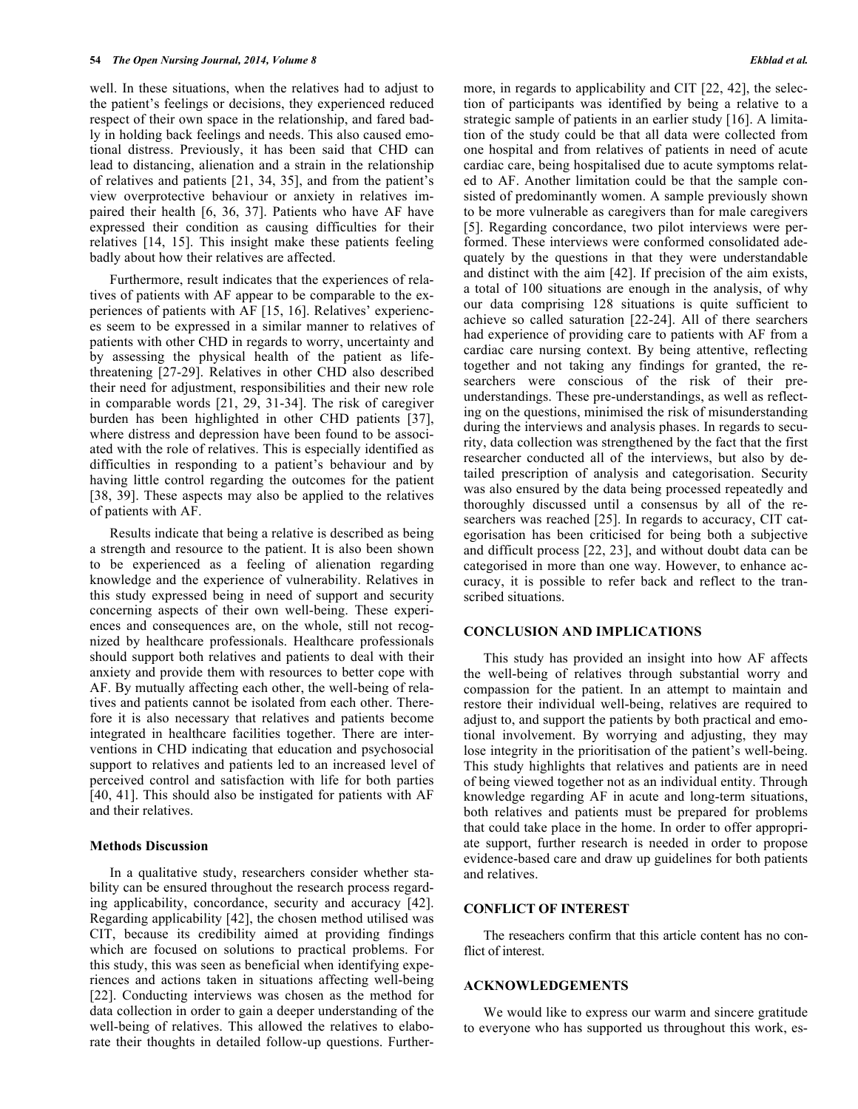well. In these situations, when the relatives had to adjust to the patient's feelings or decisions, they experienced reduced respect of their own space in the relationship, and fared badly in holding back feelings and needs. This also caused emotional distress. Previously, it has been said that CHD can lead to distancing, alienation and a strain in the relationship of relatives and patients [21, 34, 35], and from the patient's view overprotective behaviour or anxiety in relatives impaired their health [6, 36, 37]. Patients who have AF have expressed their condition as causing difficulties for their relatives [14, 15]. This insight make these patients feeling badly about how their relatives are affected.

Furthermore, result indicates that the experiences of relatives of patients with AF appear to be comparable to the experiences of patients with AF [15, 16]. Relatives' experiences seem to be expressed in a similar manner to relatives of patients with other CHD in regards to worry, uncertainty and by assessing the physical health of the patient as lifethreatening [27-29]. Relatives in other CHD also described their need for adjustment, responsibilities and their new role in comparable words [21, 29, 31-34]. The risk of caregiver burden has been highlighted in other CHD patients [37], where distress and depression have been found to be associated with the role of relatives. This is especially identified as difficulties in responding to a patient's behaviour and by having little control regarding the outcomes for the patient [38, 39]. These aspects may also be applied to the relatives of patients with AF.

Results indicate that being a relative is described as being a strength and resource to the patient. It is also been shown to be experienced as a feeling of alienation regarding knowledge and the experience of vulnerability. Relatives in this study expressed being in need of support and security concerning aspects of their own well-being. These experiences and consequences are, on the whole, still not recognized by healthcare professionals. Healthcare professionals should support both relatives and patients to deal with their anxiety and provide them with resources to better cope with AF. By mutually affecting each other, the well-being of relatives and patients cannot be isolated from each other. Therefore it is also necessary that relatives and patients become integrated in healthcare facilities together. There are interventions in CHD indicating that education and psychosocial support to relatives and patients led to an increased level of perceived control and satisfaction with life for both parties [40, 41]. This should also be instigated for patients with AF and their relatives.

#### **Methods Discussion**

In a qualitative study, researchers consider whether stability can be ensured throughout the research process regarding applicability, concordance, security and accuracy [42]. Regarding applicability [42], the chosen method utilised was CIT, because its credibility aimed at providing findings which are focused on solutions to practical problems. For this study, this was seen as beneficial when identifying experiences and actions taken in situations affecting well-being [22]. Conducting interviews was chosen as the method for data collection in order to gain a deeper understanding of the well-being of relatives. This allowed the relatives to elaborate their thoughts in detailed follow-up questions. Furthermore, in regards to applicability and CIT [22, 42], the selection of participants was identified by being a relative to a strategic sample of patients in an earlier study [16]. A limitation of the study could be that all data were collected from one hospital and from relatives of patients in need of acute cardiac care, being hospitalised due to acute symptoms related to AF. Another limitation could be that the sample consisted of predominantly women. A sample previously shown to be more vulnerable as caregivers than for male caregivers [5]. Regarding concordance, two pilot interviews were performed. These interviews were conformed consolidated adequately by the questions in that they were understandable and distinct with the aim [42]. If precision of the aim exists, a total of 100 situations are enough in the analysis, of why our data comprising 128 situations is quite sufficient to achieve so called saturation [22-24]. All of there searchers had experience of providing care to patients with AF from a cardiac care nursing context. By being attentive, reflecting together and not taking any findings for granted, the researchers were conscious of the risk of their preunderstandings. These pre-understandings, as well as reflecting on the questions, minimised the risk of misunderstanding during the interviews and analysis phases. In regards to security, data collection was strengthened by the fact that the first researcher conducted all of the interviews, but also by detailed prescription of analysis and categorisation. Security was also ensured by the data being processed repeatedly and thoroughly discussed until a consensus by all of the researchers was reached [25]. In regards to accuracy, CIT categorisation has been criticised for being both a subjective and difficult process [22, 23], and without doubt data can be categorised in more than one way. However, to enhance accuracy, it is possible to refer back and reflect to the transcribed situations.

# **CONCLUSION AND IMPLICATIONS**

This study has provided an insight into how AF affects the well-being of relatives through substantial worry and compassion for the patient. In an attempt to maintain and restore their individual well-being, relatives are required to adjust to, and support the patients by both practical and emotional involvement. By worrying and adjusting, they may lose integrity in the prioritisation of the patient's well-being. This study highlights that relatives and patients are in need of being viewed together not as an individual entity. Through knowledge regarding AF in acute and long-term situations, both relatives and patients must be prepared for problems that could take place in the home. In order to offer appropriate support, further research is needed in order to propose evidence-based care and draw up guidelines for both patients and relatives.

# **CONFLICT OF INTEREST**

The reseachers confirm that this article content has no conflict of interest.

#### **ACKNOWLEDGEMENTS**

We would like to express our warm and sincere gratitude to everyone who has supported us throughout this work, es